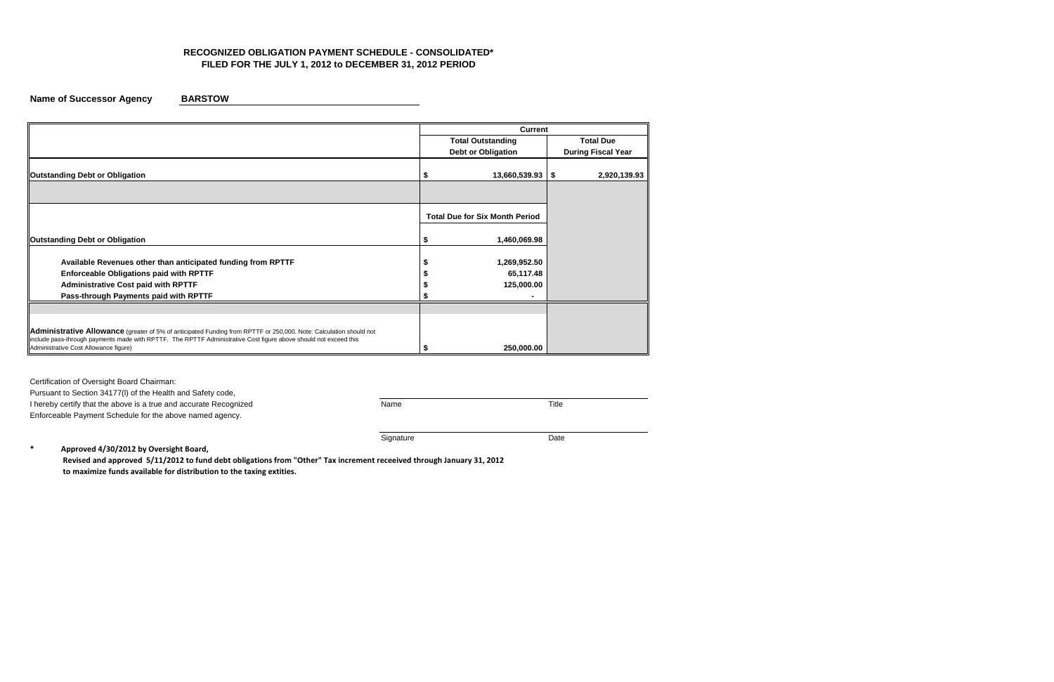# **RECOGNIZED OBLIGATION PAYMENT SCHEDULE - CONSOLIDATED\* FILED FOR THE JULY 1, 2012 to DECEMBER 31, 2012 PERIOD**

**Name of Successor Agency BARSTOW** 

I hereby certify that the above is a true and accurate Recognized Name Name Name Title Enforceable Payment Schedule for the above named agency.

Signature Date

Certification of Oversight Board Chairman:

Pursuant to Section 34177(l) of the Health and Safety code,

|                                                                                                                                                           | <b>Current</b>                        |                           |  |  |  |  |  |
|-----------------------------------------------------------------------------------------------------------------------------------------------------------|---------------------------------------|---------------------------|--|--|--|--|--|
|                                                                                                                                                           | <b>Total Outstanding</b>              | <b>Total Due</b>          |  |  |  |  |  |
|                                                                                                                                                           | <b>Debt or Obligation</b>             | <b>During Fiscal Year</b> |  |  |  |  |  |
|                                                                                                                                                           |                                       |                           |  |  |  |  |  |
| <b>Outstanding Debt or Obligation</b>                                                                                                                     | 13,660,539.93                         | 2,920,139.93<br>\$        |  |  |  |  |  |
|                                                                                                                                                           |                                       |                           |  |  |  |  |  |
|                                                                                                                                                           |                                       |                           |  |  |  |  |  |
|                                                                                                                                                           | <b>Total Due for Six Month Period</b> |                           |  |  |  |  |  |
|                                                                                                                                                           |                                       |                           |  |  |  |  |  |
| <b>Outstanding Debt or Obligation</b>                                                                                                                     | 1,460,069.98                          |                           |  |  |  |  |  |
| Available Revenues other than anticipated funding from RPTTF                                                                                              | 1,269,952.50                          |                           |  |  |  |  |  |
| <b>Enforceable Obligations paid with RPTTF</b>                                                                                                            | 65,117.48                             |                           |  |  |  |  |  |
| <b>Administrative Cost paid with RPTTF</b>                                                                                                                | 125,000.00                            |                           |  |  |  |  |  |
| Pass-through Payments paid with RPTTF                                                                                                                     |                                       |                           |  |  |  |  |  |
|                                                                                                                                                           |                                       |                           |  |  |  |  |  |
|                                                                                                                                                           |                                       |                           |  |  |  |  |  |
| <b>Administrative Allowance</b> (greater of 5% of anticipated Funding from RPTTF or 250,000. Note: Calculation should not                                 |                                       |                           |  |  |  |  |  |
| include pass-through payments made with RPTTF. The RPTTF Administrative Cost figure above should not exceed this<br>Administrative Cost Allowance figure) | 250,000.00                            |                           |  |  |  |  |  |

**\* Approved 4/30/2012 by Oversight Board,** 

 **Revised and approved 5/11/2012 to fund debt obligations from "Other" Tax increment receeived through January 31, 2012 to maximize funds available for distribution to the taxing extities.**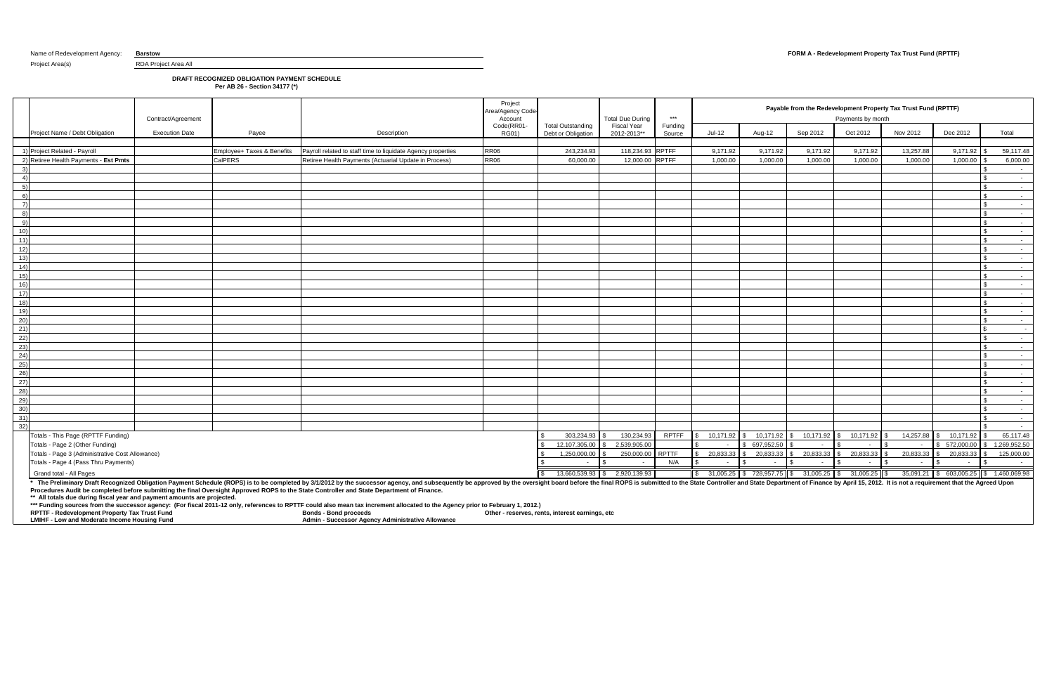# **DRAFT RECOGNIZED OBLIGATION PAYMENT SCHEDULE**

**Per AB 26 - Section 34177 (\*)**

\* The Preliminary Draft Recognized Obligation Payment Schedule (ROPS) is to be completed by 3/1/2012 by the successor agency, and subsequently be approved by the oversight board before the final ROPS is submitted to the St **Procedures Audit be completed before submitting the final Oversight Approved ROPS to the State Controller and State Department of Finance.**

|                                                                                    | Contract/Agreement                                                                                        |         |                                                                                                                                                                                                                                | Project<br>Area/Agency Code<br>Account |                                                | <b>Total Due During</b>           | $***$             |           |            |                          | Payable from the Redevelopment Property Tax Trust Fund (RPTTF)<br>Payments by month |           |                                                                                                                                   |                            |
|------------------------------------------------------------------------------------|-----------------------------------------------------------------------------------------------------------|---------|--------------------------------------------------------------------------------------------------------------------------------------------------------------------------------------------------------------------------------|----------------------------------------|------------------------------------------------|-----------------------------------|-------------------|-----------|------------|--------------------------|-------------------------------------------------------------------------------------|-----------|-----------------------------------------------------------------------------------------------------------------------------------|----------------------------|
| Project Name / Debt Obligation                                                     | <b>Execution Date</b>                                                                                     | Payee   | Description                                                                                                                                                                                                                    | Code(RR01-<br>RG01)                    | <b>Total Outstanding</b><br>Debt or Obligation | <b>Fiscal Year</b><br>2012-2013** | Funding<br>Source | Jul-12    | Aug-12     | Sep 2012                 | Oct 2012                                                                            | Nov 2012  | Dec 2012                                                                                                                          | Total                      |
| 1) Project Related - Payroll                                                       | Payroll related to staff time to liquidate Agency properties<br><b>RR06</b><br>Employee+ Taxes & Benefits |         | 243,234.93                                                                                                                                                                                                                     | 118,234.93 RPTFF                       |                                                | 9,171.92                          | 9,171.92          | 9,171.92  | 9,171.92   | 13,257.88                | 9,171.92                                                                            | 59,117.48 |                                                                                                                                   |                            |
| 2) Retiree Health Payments - Est Pmts                                              |                                                                                                           | CalPERS | Retiree Health Payments (Actuarial Update in Process)                                                                                                                                                                          | RR06                                   | 60.000.00                                      | 12,000.00 RPTFF                   |                   | 1,000.00  | 1,000.00   | 1.000.00                 | 1,000.00                                                                            | 1,000.00  | 1,000.00                                                                                                                          | 6,000.00                   |
| 3)                                                                                 |                                                                                                           |         |                                                                                                                                                                                                                                |                                        |                                                |                                   |                   |           |            |                          |                                                                                     |           |                                                                                                                                   | $\sim$                     |
| 4)                                                                                 |                                                                                                           |         |                                                                                                                                                                                                                                |                                        |                                                |                                   |                   |           |            |                          |                                                                                     |           |                                                                                                                                   | $\sim$                     |
| 5)                                                                                 |                                                                                                           |         |                                                                                                                                                                                                                                |                                        |                                                |                                   |                   |           |            |                          |                                                                                     |           |                                                                                                                                   | $\sim$                     |
| 6)                                                                                 |                                                                                                           |         |                                                                                                                                                                                                                                |                                        |                                                |                                   |                   |           |            |                          |                                                                                     |           |                                                                                                                                   | $\sim$ $-$                 |
| $\overline{7}$                                                                     |                                                                                                           |         |                                                                                                                                                                                                                                |                                        |                                                |                                   |                   |           |            |                          |                                                                                     |           |                                                                                                                                   | $\sim$ $-$                 |
| 8)                                                                                 |                                                                                                           |         |                                                                                                                                                                                                                                |                                        |                                                |                                   |                   |           |            |                          |                                                                                     |           |                                                                                                                                   | $\sim 10^{-11}$            |
| 9)                                                                                 |                                                                                                           |         |                                                                                                                                                                                                                                |                                        |                                                |                                   |                   |           |            |                          |                                                                                     |           |                                                                                                                                   | $\sim 100$                 |
| 10)                                                                                |                                                                                                           |         |                                                                                                                                                                                                                                |                                        |                                                |                                   |                   |           |            |                          |                                                                                     |           |                                                                                                                                   | $\sim$                     |
| $\frac{1}{11}$                                                                     |                                                                                                           |         |                                                                                                                                                                                                                                |                                        |                                                |                                   |                   |           |            |                          |                                                                                     |           |                                                                                                                                   | $\sim$ $-$                 |
| 12)                                                                                |                                                                                                           |         |                                                                                                                                                                                                                                |                                        |                                                |                                   |                   |           |            |                          |                                                                                     |           |                                                                                                                                   | $\sim 10^{-11}$            |
| $\frac{13}{14}$                                                                    |                                                                                                           |         |                                                                                                                                                                                                                                |                                        |                                                |                                   |                   |           |            |                          |                                                                                     |           |                                                                                                                                   | $\sim$                     |
|                                                                                    |                                                                                                           |         |                                                                                                                                                                                                                                |                                        |                                                |                                   |                   |           |            |                          |                                                                                     |           |                                                                                                                                   | $\sim$                     |
| 15)                                                                                |                                                                                                           |         |                                                                                                                                                                                                                                |                                        |                                                |                                   |                   |           |            |                          |                                                                                     |           |                                                                                                                                   | $\sim$                     |
| $\overline{16)}$                                                                   |                                                                                                           |         |                                                                                                                                                                                                                                |                                        |                                                |                                   |                   |           |            |                          |                                                                                     |           |                                                                                                                                   | $\sim 100$                 |
| $\frac{1}{17}$                                                                     |                                                                                                           |         |                                                                                                                                                                                                                                |                                        |                                                |                                   |                   |           |            |                          |                                                                                     |           |                                                                                                                                   | $\sim$ $-$                 |
| $\frac{1}{18}$                                                                     |                                                                                                           |         |                                                                                                                                                                                                                                |                                        |                                                |                                   |                   |           |            |                          |                                                                                     |           |                                                                                                                                   | $\sim$ $-$                 |
| $\begin{array}{r} 19) \\ 20) \\ 21) \\ 22) \\ 23) \\ 24) \end{array}$              |                                                                                                           |         |                                                                                                                                                                                                                                |                                        |                                                |                                   |                   |           |            |                          |                                                                                     |           |                                                                                                                                   | $\sim 10^{-11}$            |
|                                                                                    |                                                                                                           |         |                                                                                                                                                                                                                                |                                        |                                                |                                   |                   |           |            |                          |                                                                                     |           |                                                                                                                                   | $\sim$                     |
|                                                                                    |                                                                                                           |         |                                                                                                                                                                                                                                |                                        |                                                |                                   |                   |           |            |                          |                                                                                     |           |                                                                                                                                   | $\sim$ $-$                 |
|                                                                                    |                                                                                                           |         |                                                                                                                                                                                                                                |                                        |                                                |                                   |                   |           |            |                          |                                                                                     |           |                                                                                                                                   | $\sim$                     |
|                                                                                    |                                                                                                           |         |                                                                                                                                                                                                                                |                                        |                                                |                                   |                   |           |            |                          |                                                                                     |           |                                                                                                                                   | $\sim 10^{-1}$             |
|                                                                                    |                                                                                                           |         |                                                                                                                                                                                                                                |                                        |                                                |                                   |                   |           |            |                          |                                                                                     |           |                                                                                                                                   | $\sim 10^{-1}$             |
|                                                                                    |                                                                                                           |         |                                                                                                                                                                                                                                |                                        |                                                |                                   |                   |           |            |                          |                                                                                     |           |                                                                                                                                   | $\sim 10^{-11}$            |
|                                                                                    |                                                                                                           |         |                                                                                                                                                                                                                                |                                        |                                                |                                   |                   |           |            |                          |                                                                                     |           |                                                                                                                                   | $\sim 10^{-11}$            |
|                                                                                    |                                                                                                           |         |                                                                                                                                                                                                                                |                                        |                                                |                                   |                   |           |            |                          |                                                                                     |           |                                                                                                                                   | $\sim$                     |
|                                                                                    |                                                                                                           |         |                                                                                                                                                                                                                                |                                        |                                                |                                   |                   |           |            |                          |                                                                                     |           |                                                                                                                                   | $\sim$ $-$                 |
|                                                                                    |                                                                                                           |         |                                                                                                                                                                                                                                |                                        |                                                |                                   |                   |           |            |                          |                                                                                     |           |                                                                                                                                   | $\sim$ $-$                 |
|                                                                                    |                                                                                                           |         |                                                                                                                                                                                                                                |                                        |                                                |                                   |                   |           |            |                          |                                                                                     |           |                                                                                                                                   | $\sim$                     |
| 25)<br>26)<br>28)<br>29)<br>32)<br>32)                                             |                                                                                                           |         |                                                                                                                                                                                                                                |                                        |                                                |                                   |                   |           |            |                          |                                                                                     |           |                                                                                                                                   | $\sim 10^{-10}$            |
|                                                                                    |                                                                                                           |         |                                                                                                                                                                                                                                |                                        | 303.234.93                                     | 130.234.93                        | <b>RPTFF</b>      |           |            |                          |                                                                                     |           | 10.171.92                                                                                                                         | $\sim$ $-$                 |
| Totals - This Page (RPTTF Funding)                                                 |                                                                                                           |         |                                                                                                                                                                                                                                |                                        |                                                |                                   |                   | 10.171.92 | 10,171.92  | 10,171.92                | 10,171.92                                                                           | 14,257.88 |                                                                                                                                   | 65,117.48                  |
| Totals - Page 2 (Other Funding)<br>Totals - Page 3 (Administrative Cost Allowance) |                                                                                                           |         |                                                                                                                                                                                                                                |                                        | 12,107,305.00<br>1,250,000.00                  | 2,539,905.00<br>250,000.00 RPTTF  |                   | 20,833.33 | 697,952.50 | $$20,833.33$ \$20,833.33 | 20,833.33                                                                           | 20,833.33 | \$ 572,000.00<br>20,833.33<br>\$.                                                                                                 | 1,269,952.50<br>125,000.00 |
| Totals - Page 4 (Pass Thru Payments)                                               |                                                                                                           |         |                                                                                                                                                                                                                                |                                        | $\sim$                                         | $\sim$                            | N/A               | $\sim$    |            |                          |                                                                                     | $\sim$    |                                                                                                                                   | $\sim$ $-$                 |
|                                                                                    |                                                                                                           |         |                                                                                                                                                                                                                                |                                        |                                                |                                   |                   |           |            |                          |                                                                                     |           |                                                                                                                                   |                            |
| Grand total - All Pages                                                            |                                                                                                           |         | * The Preliminary Draft Recognized Obligation Payment Schedule (ROPS) is to be completed by 3/1/2012 by the successor agency, and subsequently be approved by the oversight board before the final ROPS is submitted to the St |                                        |                                                | 13,660,539.93 \$ 2,920,139.93     |                   |           |            |                          |                                                                                     |           | $\boxed{\$}$ 31,005.25 $\$\$$ 728,957.75 $\$\$$ 31,005.25 $\$\$$ 31,005.25 $\$\$$ 35,091.21 $\$\$$ 603,005.25 $\$\$$ 1,460,069.98 |                            |

**\*\* All totals due during fiscal year and payment amounts are projected.** 

**\*\*\* Funding sources from the successor agency: (For fiscal 2011-12 only, references to RPTTF could also mean tax increment allocated to the Agency prior to February 1, 2012.)**

| <b>RPT</b><br>elopment Propertv<br>Тах          | Trust Fund | Bond.<br><b>Bond proceeds</b>                            | Othe<br>etc<br>rent:<br>· reserves<br>∵earnin⊾<br><b>Interest</b> |
|-------------------------------------------------|------------|----------------------------------------------------------|-------------------------------------------------------------------|
| LMIH'<br>e Income Housing i<br>' Moderat<br>∴ow | Func       | Adm<br>ninistrative Allowance<br>ressor Agency<br>∕ Adr⁄ |                                                                   |

Project Area(s) RDA Project Area All

### Name of Redevelopment Agency: **Barstow <b>FORM A** - Redevelopment Property Tax Trust Fund (RPTTF)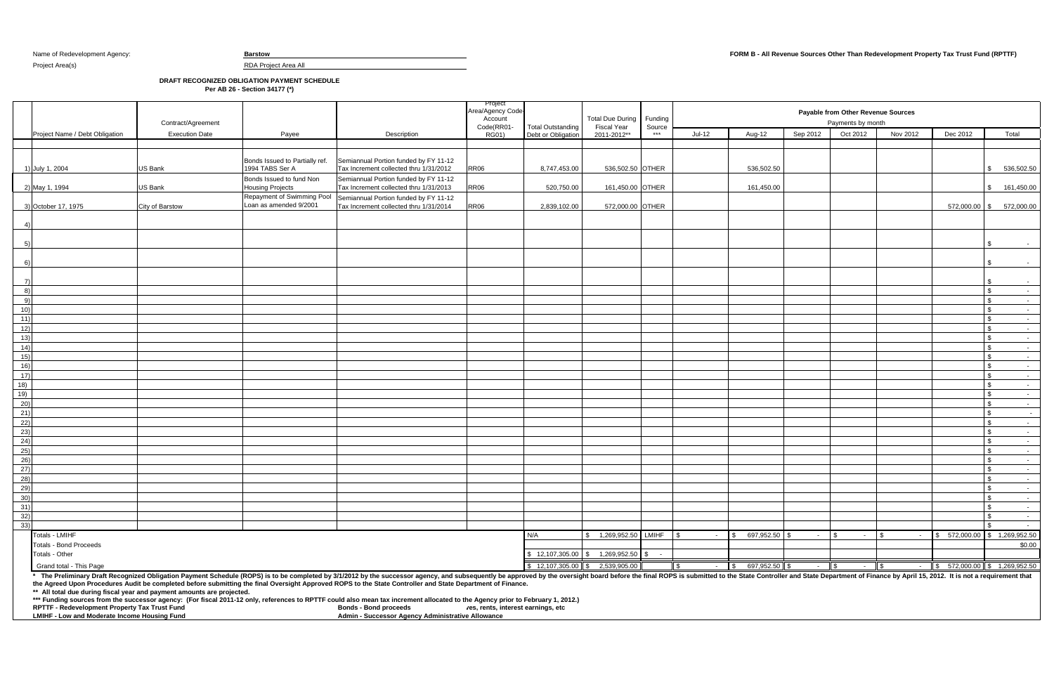Project Area(s) and RDA Project Area All

**DRAFT RECOGNIZED OBLIGATION PAYMENT SCHEDULE**

**Per AB 26 - Section 34177 (\*)**

\* The Preliminary Draft Recognized Obligation Payment Schedule (ROPS) is to be completed by 3/1/2012 by the successor agency, and subsequently be approved by the oversight board before the final ROPS is submitted to the St **the Agreed Upon Procedures Audit be completed before submitting the final Oversight Approved ROPS to the State Controller and State Department of Finance.**

|                |                                | Contract/Agreement    |                                                      |                                                                                 | Project<br>Area/Agency Code-<br>Account<br>Code(RR01- | <b>Total Outstanding</b>                          | <b>Total Due During</b><br><b>Fiscal Year</b> | Funding<br>Source |                |                       |                 | Payable from Other Revenue Sources<br>Payments by month |                  |                                             |                                              |
|----------------|--------------------------------|-----------------------|------------------------------------------------------|---------------------------------------------------------------------------------|-------------------------------------------------------|---------------------------------------------------|-----------------------------------------------|-------------------|----------------|-----------------------|-----------------|---------------------------------------------------------|------------------|---------------------------------------------|----------------------------------------------|
|                | Project Name / Debt Obligation | <b>Execution Date</b> | Payee                                                | Description                                                                     | RG01)                                                 | Debt or Obligation                                | 2011-2012**                                   | ***               | $Jul-12$       | Aug-12                | Sep 2012        | Oct 2012                                                | Nov 2012         | Dec 2012                                    | Total                                        |
|                |                                |                       |                                                      |                                                                                 |                                                       |                                                   |                                               |                   |                |                       |                 |                                                         |                  |                                             |                                              |
|                | 1) July 1, 2004                | <b>US Bank</b>        | Bonds Issued to Partially ref.<br>1994 TABS Ser A    | Semiannual Portion funded by FY 11-12<br>Tax Increment collected thru 1/31/2012 | <b>RR06</b>                                           | 8,747,453.00                                      | 536,502.50 OTHER                              |                   |                | 536,502.50            |                 |                                                         |                  |                                             | \$536,502.50                                 |
|                | 2) May 1, 1994                 | US Bank               | Bonds Issued to fund Non<br><b>Housing Projects</b>  | Semiannual Portion funded by FY 11-12<br>Tax Increment collected thru 1/31/2013 | <b>RR06</b>                                           | 520,750.00                                        | 161,450.00 OTHER                              |                   |                | 161,450.00            |                 |                                                         |                  |                                             | \$ 161,450.00                                |
|                | 3) October 17, 1975            | City of Barstow       | Repayment of Swimming Pool<br>Loan as amended 9/2001 | Semiannual Portion funded by FY 11-12<br>Tax Increment collected thru 1/31/2014 | <b>RR06</b>                                           | 2,839,102.00                                      | 572,000.00 OTHER                              |                   |                |                       |                 |                                                         |                  |                                             | 572,000.00 \$ 572,000.00                     |
|                |                                |                       |                                                      |                                                                                 |                                                       |                                                   |                                               |                   |                |                       |                 |                                                         |                  |                                             |                                              |
|                |                                |                       |                                                      |                                                                                 |                                                       |                                                   |                                               |                   |                |                       |                 |                                                         |                  |                                             | \$<br>$\sim$                                 |
| -6             |                                |                       |                                                      |                                                                                 |                                                       |                                                   |                                               |                   |                |                       |                 |                                                         |                  |                                             | \$<br>$\sim$ $-$                             |
| $\overline{7}$ |                                |                       |                                                      |                                                                                 |                                                       |                                                   |                                               |                   |                |                       |                 |                                                         |                  |                                             | - \$<br>$\sim$                               |
| 8)             |                                |                       |                                                      |                                                                                 |                                                       |                                                   |                                               |                   |                |                       |                 |                                                         |                  |                                             | $\sqrt{2}$<br>$\sim$ $-$                     |
| - 9)           |                                |                       |                                                      |                                                                                 |                                                       |                                                   |                                               |                   |                |                       |                 |                                                         |                  |                                             | $\mathbf{s}$<br>$\sim$ $\sim$                |
| 10)            |                                |                       |                                                      |                                                                                 |                                                       |                                                   |                                               |                   |                |                       |                 |                                                         |                  |                                             | $\mathcal{S}$<br>$\sim$ $-$                  |
| 11)<br>12)     |                                |                       |                                                      |                                                                                 |                                                       |                                                   |                                               |                   |                |                       |                 |                                                         |                  |                                             | $\mathfrak{F}$<br>$\sim$<br>\$               |
| 13)            |                                |                       |                                                      |                                                                                 |                                                       |                                                   |                                               |                   |                |                       |                 |                                                         |                  |                                             | $\sim$ $-$<br>\$<br>$\sim$ $-$               |
| (14)           |                                |                       |                                                      |                                                                                 |                                                       |                                                   |                                               |                   |                |                       |                 |                                                         |                  |                                             | \$<br>$\sim$ $-$                             |
| 15)            |                                |                       |                                                      |                                                                                 |                                                       |                                                   |                                               |                   |                |                       |                 |                                                         |                  |                                             | $\mathbf{\hat{s}}$<br>$\sim$ $ \sim$         |
| 16)            |                                |                       |                                                      |                                                                                 |                                                       |                                                   |                                               |                   |                |                       |                 |                                                         |                  |                                             | \$<br>$\sim$                                 |
| 17)            |                                |                       |                                                      |                                                                                 |                                                       |                                                   |                                               |                   |                |                       |                 |                                                         |                  |                                             | $\sqrt{3}$<br>$\sim$ $-$                     |
| 18)            |                                |                       |                                                      |                                                                                 |                                                       |                                                   |                                               |                   |                |                       |                 |                                                         |                  |                                             | \$<br>$\sim$                                 |
| 19)            |                                |                       |                                                      |                                                                                 |                                                       |                                                   |                                               |                   |                |                       |                 |                                                         |                  |                                             | \$<br>$\sim$ $-$                             |
| 20)            |                                |                       |                                                      |                                                                                 |                                                       |                                                   |                                               |                   |                |                       |                 |                                                         |                  |                                             | \$<br>$\sim$ $-$                             |
| 21)<br>22)     |                                |                       |                                                      |                                                                                 |                                                       |                                                   |                                               |                   |                |                       |                 |                                                         |                  |                                             | \$<br>$\sim$<br>$\mathcal{S}$                |
| 23)            |                                |                       |                                                      |                                                                                 |                                                       |                                                   |                                               |                   |                |                       |                 |                                                         |                  |                                             | $\sim$<br>$\mathbf{s}$<br>$\sim$ $-$         |
| 24)            |                                |                       |                                                      |                                                                                 |                                                       |                                                   |                                               |                   |                |                       |                 |                                                         |                  |                                             | \$<br>$\sim$                                 |
| 25)            |                                |                       |                                                      |                                                                                 |                                                       |                                                   |                                               |                   |                |                       |                 |                                                         |                  |                                             | \$<br>$\sim$ $-$                             |
| 26)            |                                |                       |                                                      |                                                                                 |                                                       |                                                   |                                               |                   |                |                       |                 |                                                         |                  |                                             | $\mathbb{S}$<br>$\sim$ $-$                   |
| 27)            |                                |                       |                                                      |                                                                                 |                                                       |                                                   |                                               |                   |                |                       |                 |                                                         |                  |                                             | $\sqrt{3}$<br>$\mathcal{F}_{\mathcal{A}}$    |
| 28)            |                                |                       |                                                      |                                                                                 |                                                       |                                                   |                                               |                   |                |                       |                 |                                                         |                  |                                             | $\sqrt[6]{3}$<br>$\sim$                      |
| $^{29)}$       |                                |                       |                                                      |                                                                                 |                                                       |                                                   |                                               |                   |                |                       |                 |                                                         |                  |                                             | $\sqrt{3}$<br>$\sim$ 100 $\sim$              |
| 30)            |                                |                       |                                                      |                                                                                 |                                                       |                                                   |                                               |                   |                |                       |                 |                                                         |                  |                                             | $\mathfrak{F}$<br>$\sim$ $-$                 |
| 31)            |                                |                       |                                                      |                                                                                 |                                                       |                                                   |                                               |                   |                |                       |                 |                                                         |                  |                                             | \$.<br>$\sim$ $-$                            |
| 32)<br>33)     |                                |                       |                                                      |                                                                                 |                                                       |                                                   |                                               |                   |                |                       |                 |                                                         |                  |                                             | \$<br>$\sim$ $-$<br>$\mathfrak{F}$<br>$\sim$ |
|                | Totals - LMIHF                 |                       |                                                      |                                                                                 |                                                       | N/A                                               | \$ 1,269,952.50 LMIHF                         |                   | $\sim$ $-$     | 697,952.50 \$<br>l \$ | $\sim$          | $\sqrt{3}$<br>$\sim$ $-$                                | -S<br>$\sim$ $-$ |                                             | \$ 572,000.00 \$ 1,269,952.50                |
|                | <b>Totals - Bond Proceeds</b>  |                       |                                                      |                                                                                 |                                                       |                                                   |                                               |                   |                |                       |                 |                                                         |                  |                                             | \$0.00                                       |
|                | Totals - Other                 |                       |                                                      |                                                                                 |                                                       | $\$\,$ 12,107,305.00 $\$\,$ 1,269,952.50 $\$\,$ - |                                               |                   |                |                       |                 |                                                         |                  |                                             |                                              |
|                | Grand total - This Page        |                       |                                                      |                                                                                 |                                                       |                                                   | $$12,107,305.00$ $$2,539,905.00$              |                   | $\blacksquare$ | $-$ \$ 697,952.50 \$  | $\sim 10^{-11}$ | $-$ \$<br><b>\$</b>                                     |                  | $\frac{1}{1}$ \$ 572,000.00 \$ 1,269,952.50 |                                              |
|                |                                |                       |                                                      |                                                                                 |                                                       |                                                   |                                               |                   |                |                       |                 |                                                         |                  |                                             |                                              |

**\*\* All total due during fiscal year and payment amounts are projected.** 

**\*\*\* Funding sources from the successor agency:** (For fiscal 2011-12 only, references to RPTTF could also mean tax increment allocated to the Agency prior to February 1, 2012.)<br>RPTTF - Redevelopment Property Tax Trust Fund

**RPTTF - Redevelopment Property Tax Trust Fund LMIHF - Low and Moderate Income Housing Fund** 

**LMIHF - Low and Moderate Income Housing Fund Admin - Successor Agency Administrative Allowance**

## Name of Redevelopment Agency: **Barstow FORM B - All Revenue Sources Other Than Redevelopment Property Tax Trust Fund (RPTTF)**

|                 | Payable from Other Revenue Sources<br>Payments by month |                                                   |                                                                                                          |                     |               |                                            |  |  |  |  |  |  |
|-----------------|---------------------------------------------------------|---------------------------------------------------|----------------------------------------------------------------------------------------------------------|---------------------|---------------|--------------------------------------------|--|--|--|--|--|--|
|                 | Sep 2012                                                | Oct 2012                                          | Nov 2012                                                                                                 | Dec 2012            |               | Total                                      |  |  |  |  |  |  |
|                 |                                                         |                                                   |                                                                                                          |                     |               |                                            |  |  |  |  |  |  |
|                 |                                                         |                                                   |                                                                                                          |                     |               |                                            |  |  |  |  |  |  |
|                 |                                                         |                                                   |                                                                                                          |                     |               |                                            |  |  |  |  |  |  |
| $50\,$          |                                                         |                                                   |                                                                                                          |                     | \$            | 536,502.50                                 |  |  |  |  |  |  |
|                 |                                                         |                                                   |                                                                                                          |                     |               |                                            |  |  |  |  |  |  |
| )0              |                                                         |                                                   |                                                                                                          |                     | \$            | 161,450.00                                 |  |  |  |  |  |  |
|                 |                                                         |                                                   |                                                                                                          | 572,000.00          | \$            | 572,000.00                                 |  |  |  |  |  |  |
|                 |                                                         |                                                   |                                                                                                          |                     |               |                                            |  |  |  |  |  |  |
|                 |                                                         |                                                   |                                                                                                          |                     |               |                                            |  |  |  |  |  |  |
|                 |                                                         |                                                   |                                                                                                          |                     |               |                                            |  |  |  |  |  |  |
|                 |                                                         |                                                   |                                                                                                          |                     | \$            |                                            |  |  |  |  |  |  |
|                 |                                                         |                                                   |                                                                                                          |                     |               |                                            |  |  |  |  |  |  |
|                 |                                                         |                                                   |                                                                                                          |                     | \$            | ۰                                          |  |  |  |  |  |  |
|                 |                                                         |                                                   |                                                                                                          |                     |               |                                            |  |  |  |  |  |  |
|                 |                                                         |                                                   |                                                                                                          |                     | \$            | ٠                                          |  |  |  |  |  |  |
|                 |                                                         |                                                   |                                                                                                          |                     | \$            | $\overline{a}$                             |  |  |  |  |  |  |
|                 |                                                         |                                                   |                                                                                                          |                     | \$            | $\overline{\phantom{a}}$                   |  |  |  |  |  |  |
|                 |                                                         |                                                   |                                                                                                          |                     | \$            | $\overline{\phantom{a}}$                   |  |  |  |  |  |  |
|                 |                                                         |                                                   |                                                                                                          |                     | \$            | $\overline{\phantom{a}}$                   |  |  |  |  |  |  |
|                 |                                                         |                                                   |                                                                                                          |                     | \$            | $\overline{a}$                             |  |  |  |  |  |  |
|                 |                                                         |                                                   |                                                                                                          |                     | \$            | $\overline{\phantom{a}}$                   |  |  |  |  |  |  |
|                 |                                                         |                                                   |                                                                                                          |                     | \$            | $\overline{\phantom{a}}$                   |  |  |  |  |  |  |
|                 |                                                         |                                                   |                                                                                                          |                     | \$            | $\blacksquare$                             |  |  |  |  |  |  |
|                 |                                                         |                                                   |                                                                                                          |                     | \$            | -                                          |  |  |  |  |  |  |
|                 |                                                         |                                                   |                                                                                                          |                     | \$<br>\$      | $\overline{a}$<br>$\overline{\phantom{a}}$ |  |  |  |  |  |  |
|                 |                                                         |                                                   |                                                                                                          |                     | \$            | ۰                                          |  |  |  |  |  |  |
|                 |                                                         |                                                   |                                                                                                          |                     | \$            | $\frac{1}{2}$                              |  |  |  |  |  |  |
|                 |                                                         |                                                   |                                                                                                          |                     | \$            | $\overline{\phantom{a}}$                   |  |  |  |  |  |  |
|                 |                                                         |                                                   |                                                                                                          |                     | \$            | -                                          |  |  |  |  |  |  |
|                 |                                                         |                                                   |                                                                                                          |                     | \$            | $\overline{a}$                             |  |  |  |  |  |  |
|                 |                                                         |                                                   |                                                                                                          |                     | \$            | $\overline{\phantom{a}}$                   |  |  |  |  |  |  |
|                 |                                                         |                                                   |                                                                                                          |                     | \$            | ÷,                                         |  |  |  |  |  |  |
|                 |                                                         |                                                   |                                                                                                          |                     | \$            | $\overline{\phantom{a}}$                   |  |  |  |  |  |  |
|                 |                                                         |                                                   |                                                                                                          |                     | \$            | $\overline{\phantom{a}}$                   |  |  |  |  |  |  |
|                 |                                                         |                                                   |                                                                                                          |                     | \$            | $\overline{a}$                             |  |  |  |  |  |  |
|                 |                                                         |                                                   |                                                                                                          |                     | \$            |                                            |  |  |  |  |  |  |
|                 |                                                         |                                                   |                                                                                                          |                     | \$            | ۰                                          |  |  |  |  |  |  |
|                 |                                                         |                                                   |                                                                                                          |                     | $\$\,$        | ٠                                          |  |  |  |  |  |  |
|                 |                                                         |                                                   |                                                                                                          |                     | $\frac{1}{2}$ | $\overline{\phantom{a}}$                   |  |  |  |  |  |  |
|                 |                                                         |                                                   |                                                                                                          |                     | \$            | $\overline{\phantom{a}}$                   |  |  |  |  |  |  |
| 50              | \$                                                      | \$<br>$\overline{\phantom{a}}$                    | \$                                                                                                       | \$<br>572,000.00    | $\,$          | 1,269,952.50                               |  |  |  |  |  |  |
|                 |                                                         |                                                   |                                                                                                          |                     |               | \$0.00                                     |  |  |  |  |  |  |
|                 |                                                         |                                                   |                                                                                                          |                     |               |                                            |  |  |  |  |  |  |
| 50 <sub>1</sub> | $\sqrt{3}$                                              | $\boldsymbol{\theta}$<br>$\overline{\phantom{a}}$ | $\overline{\$}$<br>oller and State Department of Finance by April 15, 2012. It is not a requirement that | \$<br>572,000.00 \$ |               | 1,269,952.50                               |  |  |  |  |  |  |